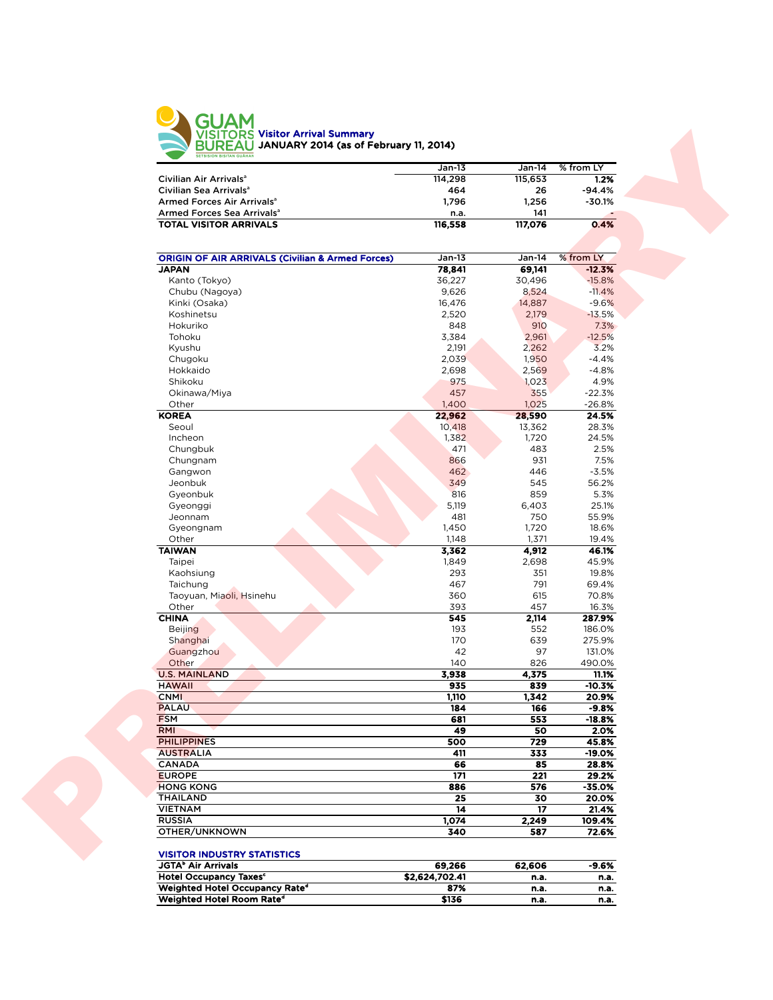

|                                        | $Jan-13$ | Jan-14  | % from LY |
|----------------------------------------|----------|---------|-----------|
| Civilian Air Arrivals <sup>a</sup>     | 114,298  | 115.653 | 1.2%      |
| Civilian Sea Arrivals <sup>a</sup>     | 464      | 26      | $-94.4%$  |
| Armed Forces Air Arrivals <sup>a</sup> | 1.796    | 1.256   | $-30.1%$  |
| Armed Forces Sea Arrivals <sup>a</sup> | n.a.     | 141     |           |
| <b>TOTAL VISITOR ARRIVALS</b>          | 116.558  | 117.076 | 0.4%      |
|                                        |          |         |           |

| 114,298<br>115,653<br>464<br>26<br>1,796<br>1,256<br>141<br>n.a.<br>117,076<br><b>TOTAL VISITOR ARRIVALS</b><br>116,558<br><b>ORIGIN OF AIR ARRIVALS (Civilian &amp; Armed Forces)</b><br>$Jan-13$<br>Jan-14<br>78,841<br>69,141<br>Kanto (Tokyo)<br>36,227<br>30,496<br>9,626<br>8,524<br>Chubu (Nagoya)<br>16,476<br>14,887<br>Kinki (Osaka)<br>Koshinetsu<br>2,520<br>2,179<br>Hokuriko<br>848<br>910<br>Tohoku<br>3,384<br>2,961<br>2,191<br>Kyushu<br>2,262<br>Chugoku<br>2,039<br>1,950<br>Hokkaido<br>2,698<br>2,569<br>Shikoku<br>975<br>1,023<br>Okinawa/Miya<br>457<br>355<br>Other<br>1,400<br>1,025<br>22,962<br>28,590<br>Seoul<br>10,418<br>13,362<br>Incheon<br>1,382<br>1,720<br>471<br>483<br>Chungbuk<br>931<br>Chungnam<br>866<br>462<br>Gangwon<br>446<br>545<br>Jeonbuk<br>349<br>816<br>Gyeonbuk<br>859<br>Gyeonggi<br>5,119<br>6,403<br>481<br>750<br>Jeonnam<br>1,450<br>1,720<br>Gyeongnam<br>Other<br>1,148<br>1,371<br><b>TAIWAN</b><br>3,362<br>4,912<br>Taipei<br>1,849<br>2,698<br>293<br>351<br>Kaohsiung<br>791<br>467<br>Taichung<br>Taoyuan, Miaoli, Hsinehu<br>360<br>615<br>Other<br>393<br>457<br>545<br>2,114<br>193<br>552<br><b>Beijing</b><br>170<br>639<br>Shanghai<br>42<br>97<br>Guangzhou<br>Other<br>140<br>826<br><b>U.S. MAINLAND</b><br>3,938<br>4,375<br>935<br>839<br><b>HAWAII</b><br>1,110<br>1,342<br><b>CNMI</b><br>184<br>166<br>553<br>681<br>49<br>50<br>500<br>729<br>411<br>333<br>66<br>85<br>171<br>221<br>886<br>576<br>25<br>30<br><b>VIETNAM</b><br>14<br>17<br><b>RUSSIA</b><br>1,074<br>2,249<br>340<br>587<br>69,266<br>62,606<br><b>Hotel Occupancy Taxes<sup>c</sup></b><br>\$2,624,702.41 |                                        | $Jan-13$ | Jan-14 | % from LY         |
|------------------------------------------------------------------------------------------------------------------------------------------------------------------------------------------------------------------------------------------------------------------------------------------------------------------------------------------------------------------------------------------------------------------------------------------------------------------------------------------------------------------------------------------------------------------------------------------------------------------------------------------------------------------------------------------------------------------------------------------------------------------------------------------------------------------------------------------------------------------------------------------------------------------------------------------------------------------------------------------------------------------------------------------------------------------------------------------------------------------------------------------------------------------------------------------------------------------------------------------------------------------------------------------------------------------------------------------------------------------------------------------------------------------------------------------------------------------------------------------------------------------------------------------------------------------------------------------------------------------------------------------------------------------|----------------------------------------|----------|--------|-------------------|
|                                                                                                                                                                                                                                                                                                                                                                                                                                                                                                                                                                                                                                                                                                                                                                                                                                                                                                                                                                                                                                                                                                                                                                                                                                                                                                                                                                                                                                                                                                                                                                                                                                                                  | Civilian Air Arrivals <sup>a</sup>     |          |        | 1.2%              |
|                                                                                                                                                                                                                                                                                                                                                                                                                                                                                                                                                                                                                                                                                                                                                                                                                                                                                                                                                                                                                                                                                                                                                                                                                                                                                                                                                                                                                                                                                                                                                                                                                                                                  | Civilian Sea Arrivals <sup>a</sup>     |          |        | -94.4%            |
|                                                                                                                                                                                                                                                                                                                                                                                                                                                                                                                                                                                                                                                                                                                                                                                                                                                                                                                                                                                                                                                                                                                                                                                                                                                                                                                                                                                                                                                                                                                                                                                                                                                                  | Armed Forces Air Arrivals <sup>a</sup> |          |        | $-30.1%$          |
|                                                                                                                                                                                                                                                                                                                                                                                                                                                                                                                                                                                                                                                                                                                                                                                                                                                                                                                                                                                                                                                                                                                                                                                                                                                                                                                                                                                                                                                                                                                                                                                                                                                                  | Armed Forces Sea Arrivals <sup>a</sup> |          |        |                   |
|                                                                                                                                                                                                                                                                                                                                                                                                                                                                                                                                                                                                                                                                                                                                                                                                                                                                                                                                                                                                                                                                                                                                                                                                                                                                                                                                                                                                                                                                                                                                                                                                                                                                  |                                        |          |        | 0.4%              |
|                                                                                                                                                                                                                                                                                                                                                                                                                                                                                                                                                                                                                                                                                                                                                                                                                                                                                                                                                                                                                                                                                                                                                                                                                                                                                                                                                                                                                                                                                                                                                                                                                                                                  |                                        |          |        | % from LY         |
|                                                                                                                                                                                                                                                                                                                                                                                                                                                                                                                                                                                                                                                                                                                                                                                                                                                                                                                                                                                                                                                                                                                                                                                                                                                                                                                                                                                                                                                                                                                                                                                                                                                                  | <b>JAPAN</b>                           |          |        | $-12.3%$          |
|                                                                                                                                                                                                                                                                                                                                                                                                                                                                                                                                                                                                                                                                                                                                                                                                                                                                                                                                                                                                                                                                                                                                                                                                                                                                                                                                                                                                                                                                                                                                                                                                                                                                  |                                        |          |        | $-15.8%$          |
|                                                                                                                                                                                                                                                                                                                                                                                                                                                                                                                                                                                                                                                                                                                                                                                                                                                                                                                                                                                                                                                                                                                                                                                                                                                                                                                                                                                                                                                                                                                                                                                                                                                                  |                                        |          |        | $-11.4%$          |
|                                                                                                                                                                                                                                                                                                                                                                                                                                                                                                                                                                                                                                                                                                                                                                                                                                                                                                                                                                                                                                                                                                                                                                                                                                                                                                                                                                                                                                                                                                                                                                                                                                                                  |                                        |          |        | $-9.6%$           |
|                                                                                                                                                                                                                                                                                                                                                                                                                                                                                                                                                                                                                                                                                                                                                                                                                                                                                                                                                                                                                                                                                                                                                                                                                                                                                                                                                                                                                                                                                                                                                                                                                                                                  |                                        |          |        | $-13.5%$          |
|                                                                                                                                                                                                                                                                                                                                                                                                                                                                                                                                                                                                                                                                                                                                                                                                                                                                                                                                                                                                                                                                                                                                                                                                                                                                                                                                                                                                                                                                                                                                                                                                                                                                  |                                        |          |        | 7.3%              |
|                                                                                                                                                                                                                                                                                                                                                                                                                                                                                                                                                                                                                                                                                                                                                                                                                                                                                                                                                                                                                                                                                                                                                                                                                                                                                                                                                                                                                                                                                                                                                                                                                                                                  |                                        |          |        | $-12.5%$          |
|                                                                                                                                                                                                                                                                                                                                                                                                                                                                                                                                                                                                                                                                                                                                                                                                                                                                                                                                                                                                                                                                                                                                                                                                                                                                                                                                                                                                                                                                                                                                                                                                                                                                  |                                        |          |        | 3.2%              |
|                                                                                                                                                                                                                                                                                                                                                                                                                                                                                                                                                                                                                                                                                                                                                                                                                                                                                                                                                                                                                                                                                                                                                                                                                                                                                                                                                                                                                                                                                                                                                                                                                                                                  |                                        |          |        | $-4.4%$           |
|                                                                                                                                                                                                                                                                                                                                                                                                                                                                                                                                                                                                                                                                                                                                                                                                                                                                                                                                                                                                                                                                                                                                                                                                                                                                                                                                                                                                                                                                                                                                                                                                                                                                  |                                        |          |        | $-4.8%$<br>4.9%   |
|                                                                                                                                                                                                                                                                                                                                                                                                                                                                                                                                                                                                                                                                                                                                                                                                                                                                                                                                                                                                                                                                                                                                                                                                                                                                                                                                                                                                                                                                                                                                                                                                                                                                  |                                        |          |        | $-22.3%$          |
|                                                                                                                                                                                                                                                                                                                                                                                                                                                                                                                                                                                                                                                                                                                                                                                                                                                                                                                                                                                                                                                                                                                                                                                                                                                                                                                                                                                                                                                                                                                                                                                                                                                                  |                                        |          |        | $-26.8%$          |
|                                                                                                                                                                                                                                                                                                                                                                                                                                                                                                                                                                                                                                                                                                                                                                                                                                                                                                                                                                                                                                                                                                                                                                                                                                                                                                                                                                                                                                                                                                                                                                                                                                                                  | <b>KOREA</b>                           |          |        | 24.5%             |
|                                                                                                                                                                                                                                                                                                                                                                                                                                                                                                                                                                                                                                                                                                                                                                                                                                                                                                                                                                                                                                                                                                                                                                                                                                                                                                                                                                                                                                                                                                                                                                                                                                                                  |                                        |          |        | 28.3%             |
|                                                                                                                                                                                                                                                                                                                                                                                                                                                                                                                                                                                                                                                                                                                                                                                                                                                                                                                                                                                                                                                                                                                                                                                                                                                                                                                                                                                                                                                                                                                                                                                                                                                                  |                                        |          |        | 24.5%             |
|                                                                                                                                                                                                                                                                                                                                                                                                                                                                                                                                                                                                                                                                                                                                                                                                                                                                                                                                                                                                                                                                                                                                                                                                                                                                                                                                                                                                                                                                                                                                                                                                                                                                  |                                        |          |        | 2.5%              |
|                                                                                                                                                                                                                                                                                                                                                                                                                                                                                                                                                                                                                                                                                                                                                                                                                                                                                                                                                                                                                                                                                                                                                                                                                                                                                                                                                                                                                                                                                                                                                                                                                                                                  |                                        |          |        | 7.5%              |
|                                                                                                                                                                                                                                                                                                                                                                                                                                                                                                                                                                                                                                                                                                                                                                                                                                                                                                                                                                                                                                                                                                                                                                                                                                                                                                                                                                                                                                                                                                                                                                                                                                                                  |                                        |          |        | $-3.5%$           |
|                                                                                                                                                                                                                                                                                                                                                                                                                                                                                                                                                                                                                                                                                                                                                                                                                                                                                                                                                                                                                                                                                                                                                                                                                                                                                                                                                                                                                                                                                                                                                                                                                                                                  |                                        |          |        | 56.2%             |
|                                                                                                                                                                                                                                                                                                                                                                                                                                                                                                                                                                                                                                                                                                                                                                                                                                                                                                                                                                                                                                                                                                                                                                                                                                                                                                                                                                                                                                                                                                                                                                                                                                                                  |                                        |          |        | 5.3%              |
|                                                                                                                                                                                                                                                                                                                                                                                                                                                                                                                                                                                                                                                                                                                                                                                                                                                                                                                                                                                                                                                                                                                                                                                                                                                                                                                                                                                                                                                                                                                                                                                                                                                                  |                                        |          |        | 25.1%             |
|                                                                                                                                                                                                                                                                                                                                                                                                                                                                                                                                                                                                                                                                                                                                                                                                                                                                                                                                                                                                                                                                                                                                                                                                                                                                                                                                                                                                                                                                                                                                                                                                                                                                  |                                        |          |        | 55.9%             |
|                                                                                                                                                                                                                                                                                                                                                                                                                                                                                                                                                                                                                                                                                                                                                                                                                                                                                                                                                                                                                                                                                                                                                                                                                                                                                                                                                                                                                                                                                                                                                                                                                                                                  |                                        |          |        | 18.6%             |
|                                                                                                                                                                                                                                                                                                                                                                                                                                                                                                                                                                                                                                                                                                                                                                                                                                                                                                                                                                                                                                                                                                                                                                                                                                                                                                                                                                                                                                                                                                                                                                                                                                                                  |                                        |          |        | 19.4%<br>46.1%    |
|                                                                                                                                                                                                                                                                                                                                                                                                                                                                                                                                                                                                                                                                                                                                                                                                                                                                                                                                                                                                                                                                                                                                                                                                                                                                                                                                                                                                                                                                                                                                                                                                                                                                  |                                        |          |        | 45.9%             |
|                                                                                                                                                                                                                                                                                                                                                                                                                                                                                                                                                                                                                                                                                                                                                                                                                                                                                                                                                                                                                                                                                                                                                                                                                                                                                                                                                                                                                                                                                                                                                                                                                                                                  |                                        |          |        | 19.8%             |
|                                                                                                                                                                                                                                                                                                                                                                                                                                                                                                                                                                                                                                                                                                                                                                                                                                                                                                                                                                                                                                                                                                                                                                                                                                                                                                                                                                                                                                                                                                                                                                                                                                                                  |                                        |          |        | 69.4%             |
|                                                                                                                                                                                                                                                                                                                                                                                                                                                                                                                                                                                                                                                                                                                                                                                                                                                                                                                                                                                                                                                                                                                                                                                                                                                                                                                                                                                                                                                                                                                                                                                                                                                                  |                                        |          |        | 70.8%             |
|                                                                                                                                                                                                                                                                                                                                                                                                                                                                                                                                                                                                                                                                                                                                                                                                                                                                                                                                                                                                                                                                                                                                                                                                                                                                                                                                                                                                                                                                                                                                                                                                                                                                  |                                        |          |        | 16.3%             |
|                                                                                                                                                                                                                                                                                                                                                                                                                                                                                                                                                                                                                                                                                                                                                                                                                                                                                                                                                                                                                                                                                                                                                                                                                                                                                                                                                                                                                                                                                                                                                                                                                                                                  | <b>CHINA</b>                           |          |        | 287.9%            |
|                                                                                                                                                                                                                                                                                                                                                                                                                                                                                                                                                                                                                                                                                                                                                                                                                                                                                                                                                                                                                                                                                                                                                                                                                                                                                                                                                                                                                                                                                                                                                                                                                                                                  |                                        |          |        | 186.0%            |
|                                                                                                                                                                                                                                                                                                                                                                                                                                                                                                                                                                                                                                                                                                                                                                                                                                                                                                                                                                                                                                                                                                                                                                                                                                                                                                                                                                                                                                                                                                                                                                                                                                                                  |                                        |          |        | 275.9%            |
|                                                                                                                                                                                                                                                                                                                                                                                                                                                                                                                                                                                                                                                                                                                                                                                                                                                                                                                                                                                                                                                                                                                                                                                                                                                                                                                                                                                                                                                                                                                                                                                                                                                                  |                                        |          |        | 131.0%            |
|                                                                                                                                                                                                                                                                                                                                                                                                                                                                                                                                                                                                                                                                                                                                                                                                                                                                                                                                                                                                                                                                                                                                                                                                                                                                                                                                                                                                                                                                                                                                                                                                                                                                  |                                        |          |        | 490.0%            |
|                                                                                                                                                                                                                                                                                                                                                                                                                                                                                                                                                                                                                                                                                                                                                                                                                                                                                                                                                                                                                                                                                                                                                                                                                                                                                                                                                                                                                                                                                                                                                                                                                                                                  |                                        |          |        | 11.1%<br>$-10.3%$ |
|                                                                                                                                                                                                                                                                                                                                                                                                                                                                                                                                                                                                                                                                                                                                                                                                                                                                                                                                                                                                                                                                                                                                                                                                                                                                                                                                                                                                                                                                                                                                                                                                                                                                  |                                        |          |        | 20.9%             |
|                                                                                                                                                                                                                                                                                                                                                                                                                                                                                                                                                                                                                                                                                                                                                                                                                                                                                                                                                                                                                                                                                                                                                                                                                                                                                                                                                                                                                                                                                                                                                                                                                                                                  | <b>PALAU</b>                           |          |        | $-9.8%$           |
|                                                                                                                                                                                                                                                                                                                                                                                                                                                                                                                                                                                                                                                                                                                                                                                                                                                                                                                                                                                                                                                                                                                                                                                                                                                                                                                                                                                                                                                                                                                                                                                                                                                                  | <b>FSM</b>                             |          |        | $-18.8%$          |
|                                                                                                                                                                                                                                                                                                                                                                                                                                                                                                                                                                                                                                                                                                                                                                                                                                                                                                                                                                                                                                                                                                                                                                                                                                                                                                                                                                                                                                                                                                                                                                                                                                                                  | <b>RMI</b>                             |          |        | 2.0%              |
|                                                                                                                                                                                                                                                                                                                                                                                                                                                                                                                                                                                                                                                                                                                                                                                                                                                                                                                                                                                                                                                                                                                                                                                                                                                                                                                                                                                                                                                                                                                                                                                                                                                                  | <b>PHILIPPINES</b>                     |          |        | 45.8%             |
|                                                                                                                                                                                                                                                                                                                                                                                                                                                                                                                                                                                                                                                                                                                                                                                                                                                                                                                                                                                                                                                                                                                                                                                                                                                                                                                                                                                                                                                                                                                                                                                                                                                                  | <b>AUSTRALIA</b>                       |          |        | -19.0%            |
|                                                                                                                                                                                                                                                                                                                                                                                                                                                                                                                                                                                                                                                                                                                                                                                                                                                                                                                                                                                                                                                                                                                                                                                                                                                                                                                                                                                                                                                                                                                                                                                                                                                                  | <b>CANADA</b>                          |          |        | 28.8%             |
|                                                                                                                                                                                                                                                                                                                                                                                                                                                                                                                                                                                                                                                                                                                                                                                                                                                                                                                                                                                                                                                                                                                                                                                                                                                                                                                                                                                                                                                                                                                                                                                                                                                                  | <b>EUROPE</b>                          |          |        | 29.2%             |
|                                                                                                                                                                                                                                                                                                                                                                                                                                                                                                                                                                                                                                                                                                                                                                                                                                                                                                                                                                                                                                                                                                                                                                                                                                                                                                                                                                                                                                                                                                                                                                                                                                                                  | <b>HONG KONG</b>                       |          |        | $-35.0%$          |
|                                                                                                                                                                                                                                                                                                                                                                                                                                                                                                                                                                                                                                                                                                                                                                                                                                                                                                                                                                                                                                                                                                                                                                                                                                                                                                                                                                                                                                                                                                                                                                                                                                                                  | <b>THAILAND</b>                        |          |        | 20.0%             |
|                                                                                                                                                                                                                                                                                                                                                                                                                                                                                                                                                                                                                                                                                                                                                                                                                                                                                                                                                                                                                                                                                                                                                                                                                                                                                                                                                                                                                                                                                                                                                                                                                                                                  |                                        |          |        | 21.4%             |
|                                                                                                                                                                                                                                                                                                                                                                                                                                                                                                                                                                                                                                                                                                                                                                                                                                                                                                                                                                                                                                                                                                                                                                                                                                                                                                                                                                                                                                                                                                                                                                                                                                                                  |                                        |          |        | 109.4%            |
|                                                                                                                                                                                                                                                                                                                                                                                                                                                                                                                                                                                                                                                                                                                                                                                                                                                                                                                                                                                                                                                                                                                                                                                                                                                                                                                                                                                                                                                                                                                                                                                                                                                                  |                                        |          |        | 72.6%             |
|                                                                                                                                                                                                                                                                                                                                                                                                                                                                                                                                                                                                                                                                                                                                                                                                                                                                                                                                                                                                                                                                                                                                                                                                                                                                                                                                                                                                                                                                                                                                                                                                                                                                  | OTHER/UNKNOWN                          |          |        |                   |
|                                                                                                                                                                                                                                                                                                                                                                                                                                                                                                                                                                                                                                                                                                                                                                                                                                                                                                                                                                                                                                                                                                                                                                                                                                                                                                                                                                                                                                                                                                                                                                                                                                                                  | <b>VISITOR INDUSTRY STATISTICS</b>     |          |        |                   |
| n.a.<br>Weighted Hotel Occupancy Rate <sup>d</sup><br>87%<br>n.a.<br>n.a.                                                                                                                                                                                                                                                                                                                                                                                                                                                                                                                                                                                                                                                                                                                                                                                                                                                                                                                                                                                                                                                                                                                                                                                                                                                                                                                                                                                                                                                                                                                                                                                        | <b>JGTA</b> <sup>b</sup> Air Arrivals  |          |        | $-9.6%$<br>n.a.   |

Weighted Hotel Room Rated \$136 n.a. n.a.